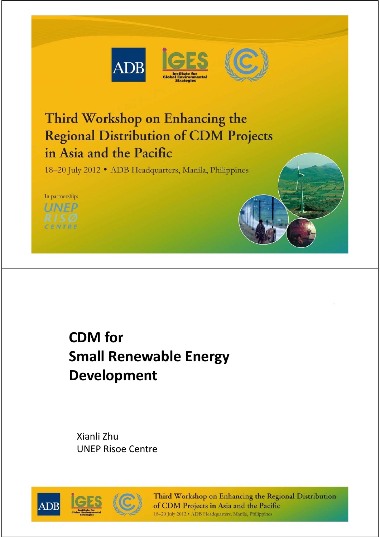



# Third Workshop on Enhancing the **Regional Distribution of CDM Projects** in Asia and the Pacific

18-20 July 2012 • ADB Headquarters, Manila, Philippines



# **CDM for Small Renewable Energy Development**

Xianli Zhu UNEP Risoe Centre



Third Workshop on Enhancing the Regional Distribution of CDM Projects in Asia and the Pacific 18-20 July 2012 · ADB Headquarters, Manila, Philippines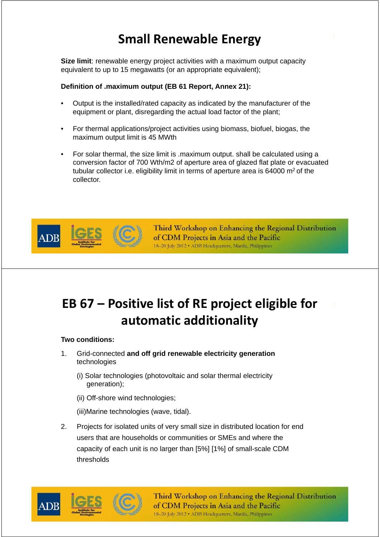### **Small Renewable Energy**

**Size limit**: renewable energy project activities with a maximum output capacity equivalent to up to 15 megawatts (or an appropriate equivalent);

#### **Definition of .maximum output (EB 61 Report, Annex 21):**

- Output is the installed/rated capacity as indicated by the manufacturer of the equipment or plant, disregarding the actual load factor of the plant;
- For thermal applications/project activities using biomass, biofuel, biogas, the maximum output limit is 45 MWth
- For solar thermal, the size limit is .maximum output. shall be calculated using a conversion factor of 700 Wth/m2 of aperture area of glazed flat plate or evacuated tubular collector i.e. eligibility limit in terms of aperture area is 64000 m2 of the collector.



Third Workshop on Enhancing the Regional Distribution of CDM Projects in Asia and the Pacific 18-20 July 2012 . ADB Headquarters, Manila, Philippines

## **EB 67 – Positive list of RE project eligible for automatic additionality**

#### **Two conditions:**

- 1. Grid-connected **and off grid renewable electricity generation**  technologies
	- (i) Solar technologies (photovoltaic and solar thermal electricity generation);
	- (ii) Off-shore wind technologies;

(iii)Marine technologies (wave, tidal).

2. Projects for isolated units of very small size in distributed location for end users that are households or communities or SMEs and where the capacity of each unit is no larger than [5%] [1%] of small-scale CDM thresholds



Third Workshop on Enhancing the Regional Distribution of CDM Projects in Asia and the Pacific 18-20 July 2012 · ADB Headquarters, Manila, Philippines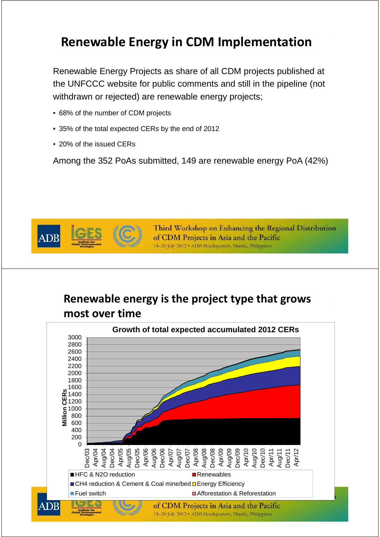#### **Renewable Energy in CDM Implementation**

Renewable Energy Projects as share of all CDM projects published at the UNFCCC website for public comments and still in the pipeline (not withdrawn or rejected) are renewable energy projects;

- 68% of the number of CDM projects
- 35% of the total expected CERs by the end of 2012
- 20% of the issued CERs

Among the 352 PoAs submitted, 149 are renewable energy PoA (42%)



Third Workshop on Enhancing the Regional Distribution of CDM Projects in Asia and the Pacific 18-20 July 2012 · ADB Headquarters, Manila, Philippines

#### **Renewable energy is the project type that grows most over time**

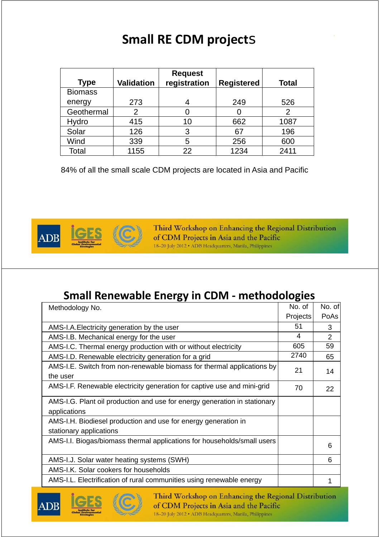### **Small RE CDM project**s

| <b>Type</b>    | <b>Validation</b> | <b>Request</b><br>registration | <b>Registered</b> | <b>Total</b> |
|----------------|-------------------|--------------------------------|-------------------|--------------|
| <b>Biomass</b> |                   |                                |                   |              |
| energy         | 273               |                                | 249               | 526          |
| Geothermal     | 2                 |                                |                   | 2            |
| Hydro          | 415               | 10                             | 662               | 1087         |
| Solar          | 126               | 3                              | 67                | 196          |
| Wind           | 339               | 5                              | 256               | 600          |
| Total          | 1155              | 22                             | 1234              | 2411         |

84% of all the small scale CDM projects are located in Asia and Pacific



Third Workshop on Enhancing the Regional Distribution of CDM Projects in Asia and the Pacific 18-20 July 2012 . ADB Headquarters, Manila, Philippines

#### **Small Renewable Energy in CDM ‐ methodologies**

| Methodology No.                                                                           |          | No. of         |
|-------------------------------------------------------------------------------------------|----------|----------------|
|                                                                                           | Projects | PoAs           |
| AMS-I.A. Electricity generation by the user                                               |          | 3              |
| AMS-I.B. Mechanical energy for the user                                                   | 4        | $\overline{2}$ |
| AMS-I.C. Thermal energy production with or without electricity                            | 605      | 59             |
| AMS-I.D. Renewable electricity generation for a grid                                      | 2740     | 65             |
| AMS-I.E. Switch from non-renewable biomass for thermal applications by<br>the user        | 21       | 14             |
| AMS-I.F. Renewable electricity generation for captive use and mini-grid                   | 70       | 22             |
| AMS-I.G. Plant oil production and use for energy generation in stationary<br>applications |          |                |
| AMS-I.H. Biodiesel production and use for energy generation in<br>stationary applications |          |                |
| AMS-I.I. Biogas/biomass thermal applications for households/small users                   |          | 6              |
| AMS-I.J. Solar water heating systems (SWH)                                                |          | 6              |
| AMS-I.K. Solar cookers for households                                                     |          |                |
| AMS-I.L. Electrification of rural communities using renewable energy                      |          |                |

ADP



Third Workshop on Enhancing the Regional Distribution of CDM Projects in Asia and the Pacific 18-20 July 2012 • ADB Headquarters, Manila, Philippines